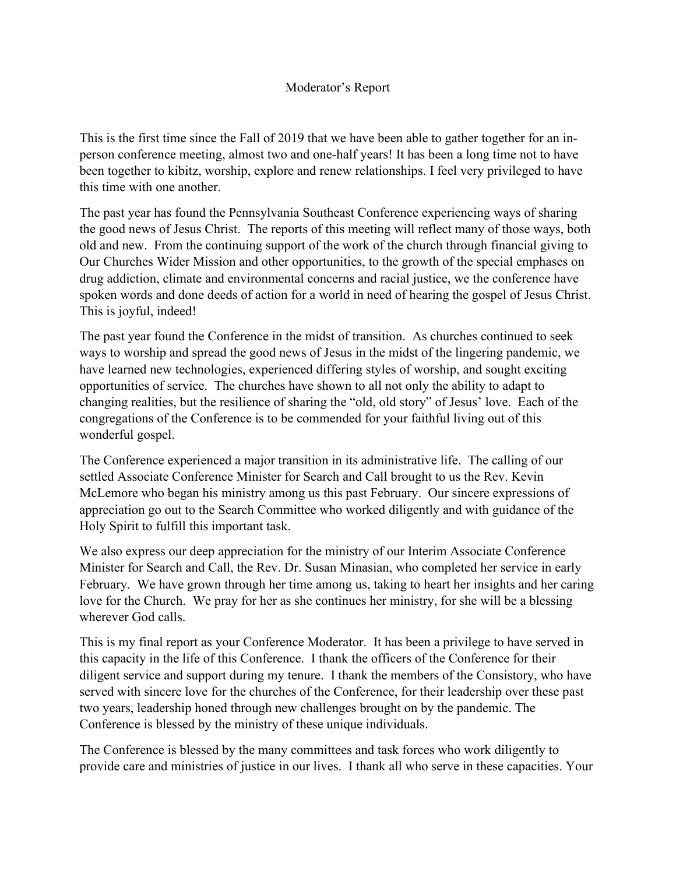## Moderator's Report

This is the first time since the Fall of 2019 that we have been able to gather together for an inperson conference meeting, almost two and one-half years! It has been a long time not to have been together to kibitz, worship, explore and renew relationships. I feel very privileged to have this time with one another.

The past year has found the Pennsylvania Southeast Conference experiencing ways of sharing the good news of Jesus Christ. The reports of this meeting will reflect many of those ways, both old and new. From the continuing support of the work of the church through financial giving to Our Churches Wider Mission and other opportunities, to the growth of the special emphases on drug addiction, climate and environmental concerns and racial justice, we the conference have spoken words and done deeds of action for a world in need of hearing the gospel of Jesus Christ. This is joyful, indeed!

The past year found the Conference in the midst of transition. As churches continued to seek ways to worship and spread the good news of Jesus in the midst of the lingering pandemic, we have learned new technologies, experienced differing styles of worship, and sought exciting opportunities of service. The churches have shown to all not only the ability to adapt to changing realities, but the resilience of sharing the "old, old story" of Jesus' love. Each of the congregations of the Conference is to be commended for your faithful living out of this wonderful gospel.

The Conference experienced a major transition in its administrative life. The calling of our settled Associate Conference Minister for Search and Call brought to us the Rev. Kevin McLemore who began his ministry among us this past February. Our sincere expressions of appreciation go out to the Search Committee who worked diligently and with guidance of the Holy Spirit to fulfill this important task.

We also express our deep appreciation for the ministry of our Interim Associate Conference Minister for Search and Call, the Rev. Dr. Susan Minasian, who completed her service in early February. We have grown through her time among us, taking to heart her insights and her caring love for the Church. We pray for her as she continues her ministry, for she will be a blessing wherever God calls.

This is my final report as your Conference Moderator. It has been a privilege to have served in this capacity in the life of this Conference. I thank the officers of the Conference for their diligent service and support during my tenure. I thank the members of the Consistory, who have served with sincere love for the churches of the Conference, for their leadership over these past two years, leadership honed through new challenges brought on by the pandemic. The Conference is blessed by the ministry of these unique individuals.

The Conference is blessed by the many committees and task forces who work diligently to provide care and ministries of justice in our lives. I thank all who serve in these capacities. Your